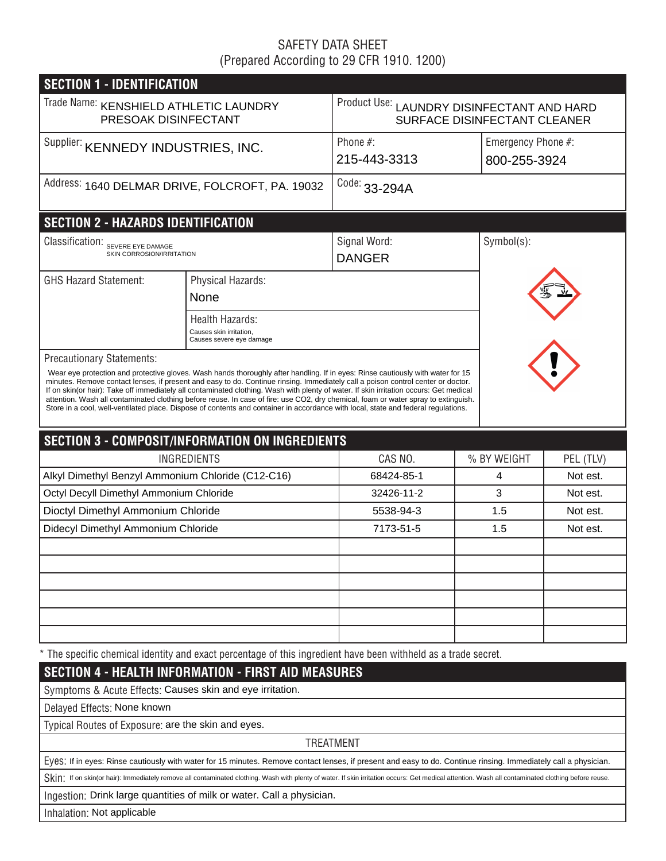# SAFETY DATA SHEET (Prepared According to 29 CFR 1910. 1200)

| <b>SECTION 1 - IDENTIFICATION</b>                              |                                                                                                                                                                                                                                                                                                                                                                                                                                                                                                                                                                                                                                                                                           |                                                                            |             |                                    |  |  |  |
|----------------------------------------------------------------|-------------------------------------------------------------------------------------------------------------------------------------------------------------------------------------------------------------------------------------------------------------------------------------------------------------------------------------------------------------------------------------------------------------------------------------------------------------------------------------------------------------------------------------------------------------------------------------------------------------------------------------------------------------------------------------------|----------------------------------------------------------------------------|-------------|------------------------------------|--|--|--|
| Trade Name: KENSHIELD ATHLETIC LAUNDRY<br>PRESOAK DISINFECTANT |                                                                                                                                                                                                                                                                                                                                                                                                                                                                                                                                                                                                                                                                                           | Product Use: LAUNDRY DISINFECTANT AND HARD<br>SURFACE DISINFECTANT CLEANER |             |                                    |  |  |  |
| Supplier: KENNEDY INDUSTRIES, INC.                             |                                                                                                                                                                                                                                                                                                                                                                                                                                                                                                                                                                                                                                                                                           | Phone $#$ :<br>215-443-3313                                                |             | Emergency Phone #:<br>800-255-3924 |  |  |  |
| Address: 1640 DELMAR DRIVE, FOLCROFT, PA. 19032                |                                                                                                                                                                                                                                                                                                                                                                                                                                                                                                                                                                                                                                                                                           | Code: 33-294A                                                              |             |                                    |  |  |  |
| <b>SECTION 2 - HAZARDS IDENTIFICATION</b>                      |                                                                                                                                                                                                                                                                                                                                                                                                                                                                                                                                                                                                                                                                                           |                                                                            |             |                                    |  |  |  |
| Classification: SEVERE EYE DAMAGE<br>SKIN CORROSION/IRRITATION |                                                                                                                                                                                                                                                                                                                                                                                                                                                                                                                                                                                                                                                                                           | Signal Word:<br><b>DANGER</b>                                              | Symbol(s):  |                                    |  |  |  |
| <b>GHS Hazard Statement:</b><br>Physical Hazards:<br>None      |                                                                                                                                                                                                                                                                                                                                                                                                                                                                                                                                                                                                                                                                                           |                                                                            |             |                                    |  |  |  |
|                                                                | <b>Health Hazards:</b><br>Causes skin irritation,<br>Causes severe eye damage                                                                                                                                                                                                                                                                                                                                                                                                                                                                                                                                                                                                             |                                                                            |             |                                    |  |  |  |
| <b>Precautionary Statements:</b>                               | Wear eye protection and protective gloves. Wash hands thoroughly after handling. If in eyes: Rinse cautiously with water for 15<br>minutes. Remove contact lenses, if present and easy to do. Continue rinsing. Immediately call a poison control center or doctor.<br>If on skin(or hair): Take off immediately all contaminated clothing. Wash with plenty of water. If skin irritation occurs: Get medical<br>attention. Wash all contaminated clothing before reuse. In case of fire: use CO2, dry chemical, foam or water spray to extinguish.<br>Store in a cool, well-ventilated place. Dispose of contents and container in accordance with local, state and federal regulations. |                                                                            |             |                                    |  |  |  |
|                                                                | <b>SECTION 3 - COMPOSIT/INFORMATION ON INGREDIENTS</b>                                                                                                                                                                                                                                                                                                                                                                                                                                                                                                                                                                                                                                    |                                                                            |             |                                    |  |  |  |
|                                                                | <b>INGREDIENTS</b>                                                                                                                                                                                                                                                                                                                                                                                                                                                                                                                                                                                                                                                                        | CAS NO.                                                                    | % BY WEIGHT | PEL (TLV)                          |  |  |  |
| Alkyl Dimethyl Benzyl Ammonium Chloride (C12-C16)              |                                                                                                                                                                                                                                                                                                                                                                                                                                                                                                                                                                                                                                                                                           | 68424-85-1                                                                 | 4           | Not est.                           |  |  |  |
| Octyl Decyll Dimethyl Ammonium Chloride                        |                                                                                                                                                                                                                                                                                                                                                                                                                                                                                                                                                                                                                                                                                           | 32426-11-2                                                                 | 3           | Not est.                           |  |  |  |
| Dioctyl Dimethyl Ammonium Chloride                             |                                                                                                                                                                                                                                                                                                                                                                                                                                                                                                                                                                                                                                                                                           | 5538-94-3                                                                  | 1.5         | Not est.                           |  |  |  |
|                                                                | Didecyl Dimethyl Ammonium Chloride                                                                                                                                                                                                                                                                                                                                                                                                                                                                                                                                                                                                                                                        |                                                                            | 1.5         | Not est.                           |  |  |  |
|                                                                |                                                                                                                                                                                                                                                                                                                                                                                                                                                                                                                                                                                                                                                                                           |                                                                            |             |                                    |  |  |  |
|                                                                |                                                                                                                                                                                                                                                                                                                                                                                                                                                                                                                                                                                                                                                                                           |                                                                            |             |                                    |  |  |  |
|                                                                |                                                                                                                                                                                                                                                                                                                                                                                                                                                                                                                                                                                                                                                                                           |                                                                            |             |                                    |  |  |  |
|                                                                |                                                                                                                                                                                                                                                                                                                                                                                                                                                                                                                                                                                                                                                                                           |                                                                            |             |                                    |  |  |  |
|                                                                |                                                                                                                                                                                                                                                                                                                                                                                                                                                                                                                                                                                                                                                                                           |                                                                            |             |                                    |  |  |  |
|                                                                |                                                                                                                                                                                                                                                                                                                                                                                                                                                                                                                                                                                                                                                                                           |                                                                            |             |                                    |  |  |  |
|                                                                | * The specific chemical identity and exact percentage of this ingredient have been withheld as a trade secret.                                                                                                                                                                                                                                                                                                                                                                                                                                                                                                                                                                            |                                                                            |             |                                    |  |  |  |
|                                                                | <b>SECTION 4 - HEALTH INFORMATION - FIRST AID MEASURES</b>                                                                                                                                                                                                                                                                                                                                                                                                                                                                                                                                                                                                                                |                                                                            |             |                                    |  |  |  |
|                                                                | Symptoms & Acute Effects: Causes skin and eye irritation.                                                                                                                                                                                                                                                                                                                                                                                                                                                                                                                                                                                                                                 |                                                                            |             |                                    |  |  |  |
| Delayed Effects: None known                                    |                                                                                                                                                                                                                                                                                                                                                                                                                                                                                                                                                                                                                                                                                           |                                                                            |             |                                    |  |  |  |
| Typical Routes of Exposure: are the skin and eyes.             |                                                                                                                                                                                                                                                                                                                                                                                                                                                                                                                                                                                                                                                                                           |                                                                            |             |                                    |  |  |  |
|                                                                |                                                                                                                                                                                                                                                                                                                                                                                                                                                                                                                                                                                                                                                                                           | <b>TREATMENT</b>                                                           |             |                                    |  |  |  |
|                                                                | EVeS: If in eyes: Rinse cautiously with water for 15 minutes. Remove contact lenses, if present and easy to do. Continue rinsing. Immediately call a physician.                                                                                                                                                                                                                                                                                                                                                                                                                                                                                                                           |                                                                            |             |                                    |  |  |  |
|                                                                | Skin: If on skin(or hair): Immediately remove all contaminated clothing. Wash with plenty of water. If skin irritation occurs: Get medical attention. Wash all contaminated clothing before reuse.                                                                                                                                                                                                                                                                                                                                                                                                                                                                                        |                                                                            |             |                                    |  |  |  |
|                                                                | Ingestion: Drink large quantities of milk or water. Call a physician.                                                                                                                                                                                                                                                                                                                                                                                                                                                                                                                                                                                                                     |                                                                            |             |                                    |  |  |  |

Inhalation: Not applicable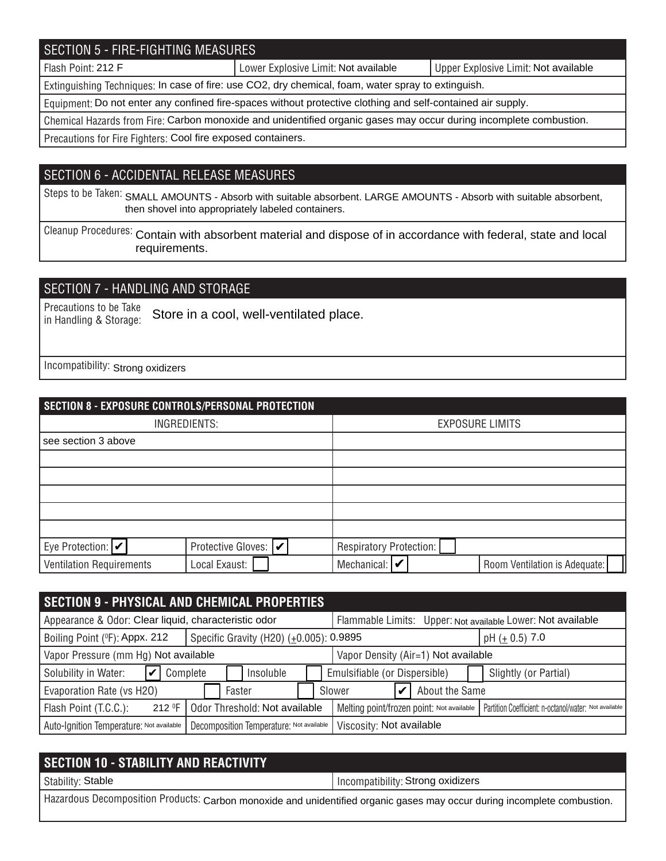# SECTION 5 - FIRE-FIGHTING MEASURES

Flash Point: 212 F **Note 20 Americ 2018** Lower Explosive Limit: Not available Not available Not available

Extinguishing Techniques: In case of fire: use CO2, dry chemical, foam, water spray to extinguish.

Equipment: Do not enter any confined fire-spaces without protective clothing and self-contained air supply.

Chemical Hazards from Fire: Carbon monoxide and unidentified organic gases may occur during incomplete combustion.

Precautions for Fire Fighters: Cool fire exposed containers.

### SECTION 6 - ACCIDENTAL RELEASE MEASURES

Steps to be Taken: SMALL AMOUNTS - Absorb with suitable absorbent. LARGE AMOUNTS - Absorb with suitable absorbent, then shovel into appropriately labeled containers.

Cleanup Procedures: Contain with absorbent material and dispose of in accordance with federal, state and local requirements.

## SECTION 7 - HANDLING AND STORAGE

Precautions to be Take in Handling & Storage: Store in a cool, well-ventilated place.

Incompatibility: Strong oxidizers

| SECTION 8 - EXPOSURE CONTROLS/PERSONAL PROTECTION |                       |                                                               |  |  |  |  |  |
|---------------------------------------------------|-----------------------|---------------------------------------------------------------|--|--|--|--|--|
| INGREDIENTS:                                      |                       | <b>EXPOSURE LIMITS</b>                                        |  |  |  |  |  |
| see section 3 above                               |                       |                                                               |  |  |  |  |  |
|                                                   |                       |                                                               |  |  |  |  |  |
|                                                   |                       |                                                               |  |  |  |  |  |
|                                                   |                       |                                                               |  |  |  |  |  |
|                                                   |                       |                                                               |  |  |  |  |  |
|                                                   |                       |                                                               |  |  |  |  |  |
| Eye Protection: $ v $                             | Protective Gloves:  ✔ | Respiratory Protection:                                       |  |  |  |  |  |
| <b>Ventilation Requirements</b>                   | Local Exaust:         | Mechanical: $\triangleright$<br>Room Ventilation is Adequate: |  |  |  |  |  |

| <b>SECTION 9 - PHYSICAL AND CHEMICAL PROPERTIES</b>  |                                          |  |                                                             |                                                       |                       |  |
|------------------------------------------------------|------------------------------------------|--|-------------------------------------------------------------|-------------------------------------------------------|-----------------------|--|
| Appearance & Odor: Clear liquid, characteristic odor |                                          |  | Flammable Limits: Upper: Not available Lower: Not available |                                                       |                       |  |
| Boiling Point (°F): Appx. 212                        | Specific Gravity (H20) (±0.005): 0.9895  |  | pH $(\pm 0.5)$ 7.0                                          |                                                       |                       |  |
| Vapor Pressure (mm Hg) Not available                 |                                          |  | Vapor Density (Air=1) Not available                         |                                                       |                       |  |
| Solubility in Water:<br>Complete                     | Insoluble                                |  | Emulsifiable (or Dispersible)                               |                                                       | Slightly (or Partial) |  |
| Evaporation Rate (vs H2O)                            | Faster                                   |  | Slower                                                      | About the Same                                        |                       |  |
| Flash Point (T.C.C.):<br>212 F                       | Odor Threshold: Not available            |  | Melting point/frozen point: Not available                   | Partition Coefficient: n-octanol/water: Not available |                       |  |
| Auto-Ignition Temperature: Not available             | Decomposition Temperature: Not available |  | Viscosity: Not available                                    |                                                       |                       |  |

| <b>SECTION 10 - STABILITY AND REACTIVITY</b>                                                                             |                                   |  |  |
|--------------------------------------------------------------------------------------------------------------------------|-----------------------------------|--|--|
| Stability: Stable                                                                                                        | Incompatibility: Strong oxidizers |  |  |
| Hazardous Decomposition Products: Carbon monoxide and unidentified organic gases may occur during incomplete combustion. |                                   |  |  |